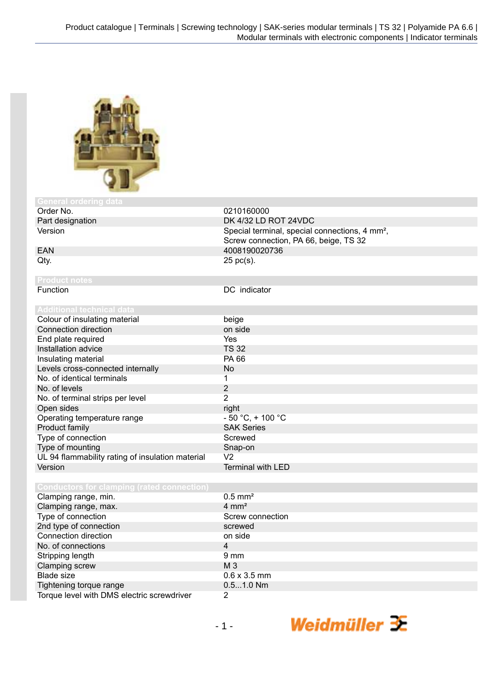

| General ordering data                             |                                                            |
|---------------------------------------------------|------------------------------------------------------------|
| Order No.                                         | 0210160000                                                 |
| Part designation                                  | DK 4/32 LD ROT 24VDC                                       |
| Version                                           | Special terminal, special connections, 4 mm <sup>2</sup> , |
|                                                   | Screw connection, PA 66, beige, TS 32                      |
| <b>EAN</b>                                        | 4008190020736                                              |
| Qty.                                              | 25 pc(s).                                                  |
|                                                   |                                                            |
| <b>Product notes</b>                              |                                                            |
| Function                                          | DC indicator                                               |
|                                                   |                                                            |
| <b>Additional technical data</b>                  |                                                            |
| Colour of insulating material                     | beige                                                      |
| Connection direction                              | on side                                                    |
| End plate required                                | Yes                                                        |
| Installation advice                               | <b>TS 32</b>                                               |
| Insulating material                               | PA 66                                                      |
| Levels cross-connected internally                 | No                                                         |
| No. of identical terminals                        | 1                                                          |
| No. of levels                                     | $\overline{2}$                                             |
| No. of terminal strips per level                  | $\overline{2}$                                             |
| Open sides                                        | right                                                      |
| Operating temperature range                       | $-50 °C$ , + 100 °C                                        |
| <b>Product family</b>                             | <b>SAK Series</b>                                          |
| Type of connection                                | Screwed                                                    |
| Type of mounting                                  | Snap-on                                                    |
| UL 94 flammability rating of insulation material  | V <sub>2</sub>                                             |
| Version                                           | <b>Terminal with LED</b>                                   |
|                                                   |                                                            |
| <b>Conductors for clamping (rated connection)</b> |                                                            |
| Clamping range, min.                              | $0.5$ mm <sup>2</sup>                                      |
| Clamping range, max.                              | $4 \, \text{mm}^2$                                         |
| Type of connection                                | Screw connection                                           |
| 2nd type of connection                            | screwed                                                    |
| Connection direction                              | on side                                                    |
| No. of connections                                | 4                                                          |
| Stripping length                                  | 9 <sub>mm</sub>                                            |
| <b>Clamping screw</b>                             | M <sub>3</sub>                                             |

Blade size 0.6 x 3.5 mm<br>
Tightening torque range 0.5...1.0 Nm Tightening torque range<br>Torque level with DMS electric screwdriver 2 Torque level with DMS electric screwdriver

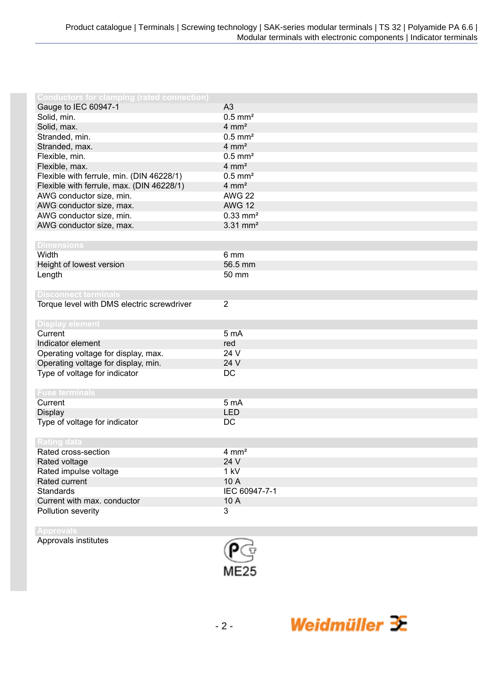| <b>Conductors for clamping (rated connection)</b><br>A <sub>3</sub><br>Gauge to IEC 60947-1<br>Solid, min.<br>$0.5$ mm <sup>2</sup><br>$4 \text{ mm}^2$<br>Solid, max.<br>Stranded, min.<br>$0.5$ mm <sup>2</sup><br>$4 \text{ mm}^2$<br>Stranded, max.<br>$0.5$ mm <sup>2</sup><br>Flexible, min.<br>$4 \, \text{mm}^2$<br>Flexible, max.<br>$0.5$ mm <sup>2</sup><br>Flexible with ferrule, min. (DIN 46228/1)<br>Flexible with ferrule, max. (DIN 46228/1)<br>$4 \, \text{mm}^2$<br><b>AWG 22</b><br>AWG conductor size, min.<br><b>AWG 12</b><br>AWG conductor size, max.<br>$0.33$ mm <sup>2</sup><br>AWG conductor size, min.<br>$3.31$ mm <sup>2</sup><br>AWG conductor size, max.<br><b>Dimensions</b> |
|----------------------------------------------------------------------------------------------------------------------------------------------------------------------------------------------------------------------------------------------------------------------------------------------------------------------------------------------------------------------------------------------------------------------------------------------------------------------------------------------------------------------------------------------------------------------------------------------------------------------------------------------------------------------------------------------------------------|
|                                                                                                                                                                                                                                                                                                                                                                                                                                                                                                                                                                                                                                                                                                                |
|                                                                                                                                                                                                                                                                                                                                                                                                                                                                                                                                                                                                                                                                                                                |
|                                                                                                                                                                                                                                                                                                                                                                                                                                                                                                                                                                                                                                                                                                                |
|                                                                                                                                                                                                                                                                                                                                                                                                                                                                                                                                                                                                                                                                                                                |
|                                                                                                                                                                                                                                                                                                                                                                                                                                                                                                                                                                                                                                                                                                                |
|                                                                                                                                                                                                                                                                                                                                                                                                                                                                                                                                                                                                                                                                                                                |
|                                                                                                                                                                                                                                                                                                                                                                                                                                                                                                                                                                                                                                                                                                                |
|                                                                                                                                                                                                                                                                                                                                                                                                                                                                                                                                                                                                                                                                                                                |
|                                                                                                                                                                                                                                                                                                                                                                                                                                                                                                                                                                                                                                                                                                                |
|                                                                                                                                                                                                                                                                                                                                                                                                                                                                                                                                                                                                                                                                                                                |
|                                                                                                                                                                                                                                                                                                                                                                                                                                                                                                                                                                                                                                                                                                                |
|                                                                                                                                                                                                                                                                                                                                                                                                                                                                                                                                                                                                                                                                                                                |
|                                                                                                                                                                                                                                                                                                                                                                                                                                                                                                                                                                                                                                                                                                                |
|                                                                                                                                                                                                                                                                                                                                                                                                                                                                                                                                                                                                                                                                                                                |
|                                                                                                                                                                                                                                                                                                                                                                                                                                                                                                                                                                                                                                                                                                                |
| Width<br>6 <sub>mm</sub>                                                                                                                                                                                                                                                                                                                                                                                                                                                                                                                                                                                                                                                                                       |
| 56.5 mm<br>Height of lowest version                                                                                                                                                                                                                                                                                                                                                                                                                                                                                                                                                                                                                                                                            |
| 50 mm<br>Length                                                                                                                                                                                                                                                                                                                                                                                                                                                                                                                                                                                                                                                                                                |
|                                                                                                                                                                                                                                                                                                                                                                                                                                                                                                                                                                                                                                                                                                                |
| <b>Disconnect terminals</b>                                                                                                                                                                                                                                                                                                                                                                                                                                                                                                                                                                                                                                                                                    |
| Torque level with DMS electric screwdriver<br>$\overline{2}$                                                                                                                                                                                                                                                                                                                                                                                                                                                                                                                                                                                                                                                   |
|                                                                                                                                                                                                                                                                                                                                                                                                                                                                                                                                                                                                                                                                                                                |
| <b>Display element</b>                                                                                                                                                                                                                                                                                                                                                                                                                                                                                                                                                                                                                                                                                         |
| Current<br>5 mA                                                                                                                                                                                                                                                                                                                                                                                                                                                                                                                                                                                                                                                                                                |
| Indicator element<br>red                                                                                                                                                                                                                                                                                                                                                                                                                                                                                                                                                                                                                                                                                       |
| 24 V<br>Operating voltage for display, max.                                                                                                                                                                                                                                                                                                                                                                                                                                                                                                                                                                                                                                                                    |
| 24 V<br>Operating voltage for display, min.                                                                                                                                                                                                                                                                                                                                                                                                                                                                                                                                                                                                                                                                    |
| Type of voltage for indicator<br>DC                                                                                                                                                                                                                                                                                                                                                                                                                                                                                                                                                                                                                                                                            |
|                                                                                                                                                                                                                                                                                                                                                                                                                                                                                                                                                                                                                                                                                                                |
| <b>Fuse terminals</b>                                                                                                                                                                                                                                                                                                                                                                                                                                                                                                                                                                                                                                                                                          |
| Current<br>5 <sub>mA</sub>                                                                                                                                                                                                                                                                                                                                                                                                                                                                                                                                                                                                                                                                                     |
| <b>LED</b><br>Display                                                                                                                                                                                                                                                                                                                                                                                                                                                                                                                                                                                                                                                                                          |
| DC<br>Type of voltage for indicator                                                                                                                                                                                                                                                                                                                                                                                                                                                                                                                                                                                                                                                                            |
| <b>Rating data</b>                                                                                                                                                                                                                                                                                                                                                                                                                                                                                                                                                                                                                                                                                             |
| Rated cross-section<br>$4 \text{ mm}^2$                                                                                                                                                                                                                                                                                                                                                                                                                                                                                                                                                                                                                                                                        |
| 24 V<br>Rated voltage                                                                                                                                                                                                                                                                                                                                                                                                                                                                                                                                                                                                                                                                                          |
| 1 kV<br>Rated impulse voltage                                                                                                                                                                                                                                                                                                                                                                                                                                                                                                                                                                                                                                                                                  |
| Rated current<br>10 A                                                                                                                                                                                                                                                                                                                                                                                                                                                                                                                                                                                                                                                                                          |
| <b>Standards</b><br>IEC 60947-7-1                                                                                                                                                                                                                                                                                                                                                                                                                                                                                                                                                                                                                                                                              |
| Current with max. conductor<br>10A                                                                                                                                                                                                                                                                                                                                                                                                                                                                                                                                                                                                                                                                             |
| 3<br>Pollution severity                                                                                                                                                                                                                                                                                                                                                                                                                                                                                                                                                                                                                                                                                        |

Approvals institutes